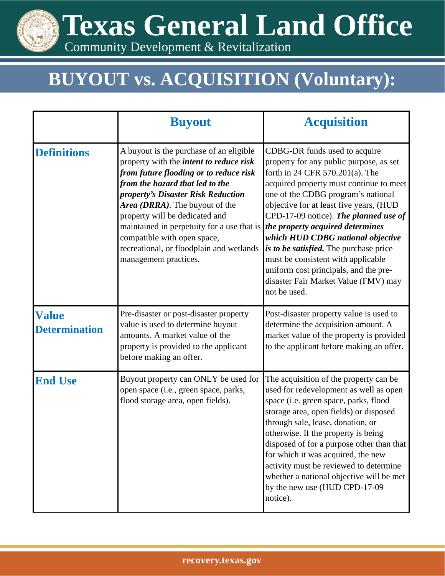**Texas General Land Office**

Community Development & Revitalization

## **BUYOUT vs. ACQUISITION (Voluntary):**

|                                      | <b>Buyout</b>                                                                                                                                                                                                                                                                                                                                                                                                                      | <b>Acquisition</b>                                                                                                                                                                                                                                                                                                                                                                                                                                                                                                                         |
|--------------------------------------|------------------------------------------------------------------------------------------------------------------------------------------------------------------------------------------------------------------------------------------------------------------------------------------------------------------------------------------------------------------------------------------------------------------------------------|--------------------------------------------------------------------------------------------------------------------------------------------------------------------------------------------------------------------------------------------------------------------------------------------------------------------------------------------------------------------------------------------------------------------------------------------------------------------------------------------------------------------------------------------|
| <b>Definitions</b>                   | A buyout is the purchase of an eligible<br>property with the <i>intent to reduce risk</i><br>from future flooding or to reduce risk<br>from the hazard that led to the<br>property's Disaster Risk Reduction<br>Area (DRRA). The buyout of the<br>property will be dedicated and<br>maintained in perpetuity for a use that is<br>compatible with open space,<br>recreational, or floodplain and wetlands<br>management practices. | CDBG-DR funds used to acquire<br>property for any public purpose, as set<br>forth in 24 CFR 570.201(a). The<br>acquired property must continue to meet<br>one of the CDBG program's national<br>objective for at least five years, (HUD<br>CPD-17-09 notice). The planned use of<br>the property acquired determines<br>which HUD CDBG national objective<br>is to be satisfied. The purchase price<br>must be consistent with applicable<br>uniform cost principals, and the pre-<br>disaster Fair Market Value (FMV) may<br>not be used. |
| <b>Value</b><br><b>Determination</b> | Pre-disaster or post-disaster property<br>value is used to determine buyout<br>amounts. A market value of the<br>property is provided to the applicant<br>before making an offer.                                                                                                                                                                                                                                                  | Post-disaster property value is used to<br>determine the acquisition amount. A<br>market value of the property is provided<br>to the applicant before making an offer.                                                                                                                                                                                                                                                                                                                                                                     |
| <b>End Use</b>                       | Buyout property can ONLY be used for<br>open space (i.e., green space, parks,<br>flood storage area, open fields).                                                                                                                                                                                                                                                                                                                 | The acquisition of the property can be<br>used for redevelopment as well as open<br>space (i.e. green space, parks, flood<br>storage area, open fields) or disposed<br>through sale, lease, donation, or<br>otherwise. If the property is being<br>disposed of for a purpose other than that<br>for which it was acquired, the new<br>activity must be reviewed to determine<br>whether a national objective will be met<br>by the new use (HUD CPD-17-09<br>notice).                                                                      |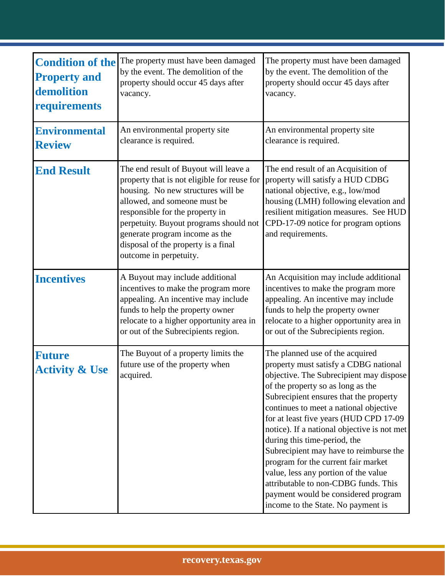| <b>Condition of the</b><br><b>Property and</b><br>demolition<br>requirements | The property must have been damaged<br>by the event. The demolition of the<br>property should occur 45 days after<br>vacancy.                                                                                                                                                                                                              | The property must have been damaged<br>by the event. The demolition of the<br>property should occur 45 days after<br>vacancy.                                                                                                                                                                                                                                                                                                                                                                                                                                                                                       |
|------------------------------------------------------------------------------|--------------------------------------------------------------------------------------------------------------------------------------------------------------------------------------------------------------------------------------------------------------------------------------------------------------------------------------------|---------------------------------------------------------------------------------------------------------------------------------------------------------------------------------------------------------------------------------------------------------------------------------------------------------------------------------------------------------------------------------------------------------------------------------------------------------------------------------------------------------------------------------------------------------------------------------------------------------------------|
| <b>Environmental</b><br><b>Review</b>                                        | An environmental property site<br>clearance is required.                                                                                                                                                                                                                                                                                   | An environmental property site<br>clearance is required.                                                                                                                                                                                                                                                                                                                                                                                                                                                                                                                                                            |
| <b>End Result</b>                                                            | The end result of Buyout will leave a<br>property that is not eligible for reuse for<br>housing. No new structures will be<br>allowed, and someone must be<br>responsible for the property in<br>perpetuity. Buyout programs should not<br>generate program income as the<br>disposal of the property is a final<br>outcome in perpetuity. | The end result of an Acquisition of<br>property will satisfy a HUD CDBG<br>national objective, e.g., low/mod<br>housing (LMH) following elevation and<br>resilient mitigation measures. See HUD<br>CPD-17-09 notice for program options<br>and requirements.                                                                                                                                                                                                                                                                                                                                                        |
| <b>Incentives</b>                                                            | A Buyout may include additional<br>incentives to make the program more<br>appealing. An incentive may include<br>funds to help the property owner<br>relocate to a higher opportunity area in<br>or out of the Subrecipients region.                                                                                                       | An Acquisition may include additional<br>incentives to make the program more<br>appealing. An incentive may include<br>funds to help the property owner<br>relocate to a higher opportunity area in<br>or out of the Subrecipients region.                                                                                                                                                                                                                                                                                                                                                                          |
| <b>Future</b><br><b>Activity &amp; Use</b>                                   | The Buyout of a property limits the<br>future use of the property when<br>acquired.                                                                                                                                                                                                                                                        | The planned use of the acquired<br>property must satisfy a CDBG national<br>objective. The Subrecipient may dispose<br>of the property so as long as the<br>Subrecipient ensures that the property<br>continues to meet a national objective<br>for at least five years (HUD CPD 17-09<br>notice). If a national objective is not met<br>during this time-period, the<br>Subrecipient may have to reimburse the<br>program for the current fair market<br>value, less any portion of the value<br>attributable to non-CDBG funds. This<br>payment would be considered program<br>income to the State. No payment is |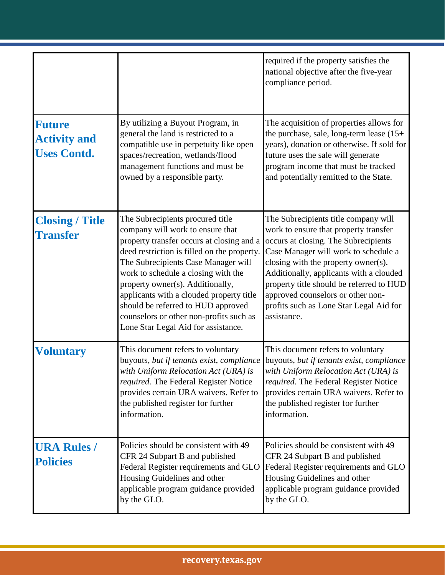|                                                            |                                                                                                                                                                                                                                                                                                                                                                                                                                                        | required if the property satisfies the<br>national objective after the five-year<br>compliance period.                                                                                                                                                                                                                                                                                     |
|------------------------------------------------------------|--------------------------------------------------------------------------------------------------------------------------------------------------------------------------------------------------------------------------------------------------------------------------------------------------------------------------------------------------------------------------------------------------------------------------------------------------------|--------------------------------------------------------------------------------------------------------------------------------------------------------------------------------------------------------------------------------------------------------------------------------------------------------------------------------------------------------------------------------------------|
| <b>Future</b><br><b>Activity and</b><br><b>Uses Contd.</b> | By utilizing a Buyout Program, in<br>general the land is restricted to a<br>compatible use in perpetuity like open<br>spaces/recreation, wetlands/flood<br>management functions and must be<br>owned by a responsible party.                                                                                                                                                                                                                           | The acquisition of properties allows for<br>the purchase, sale, long-term lease $(15+)$<br>years), donation or otherwise. If sold for<br>future uses the sale will generate<br>program income that must be tracked<br>and potentially remitted to the State.                                                                                                                               |
| <b>Closing / Title</b><br><b>Transfer</b>                  | The Subrecipients procured title<br>company will work to ensure that<br>property transfer occurs at closing and a<br>deed restriction is filled on the property.<br>The Subrecipients Case Manager will<br>work to schedule a closing with the<br>property owner(s). Additionally,<br>applicants with a clouded property title<br>should be referred to HUD approved<br>counselors or other non-profits such as<br>Lone Star Legal Aid for assistance. | The Subrecipients title company will<br>work to ensure that property transfer<br>occurs at closing. The Subrecipients<br>Case Manager will work to schedule a<br>closing with the property owner(s).<br>Additionally, applicants with a clouded<br>property title should be referred to HUD<br>approved counselors or other non-<br>profits such as Lone Star Legal Aid for<br>assistance. |
| <b>Voluntary</b>                                           | This document refers to voluntary<br>buyouts, but if tenants exist, compliance<br>with Uniform Relocation Act (URA) is<br><i>required.</i> The Federal Register Notice<br>provides certain URA waivers. Refer to<br>the published register for further<br>information.                                                                                                                                                                                 | This document refers to voluntary<br>buyouts, but if tenants exist, compliance<br>with Uniform Relocation Act (URA) is<br><i>required.</i> The Federal Register Notice<br>provides certain URA waivers. Refer to<br>the published register for further<br>information.                                                                                                                     |
| <b>URA Rules /</b><br><b>Policies</b>                      | Policies should be consistent with 49<br>CFR 24 Subpart B and published<br>Federal Register requirements and GLO<br>Housing Guidelines and other<br>applicable program guidance provided<br>by the GLO.                                                                                                                                                                                                                                                | Policies should be consistent with 49<br>CFR 24 Subpart B and published<br>Federal Register requirements and GLO<br>Housing Guidelines and other<br>applicable program guidance provided<br>by the GLO.                                                                                                                                                                                    |